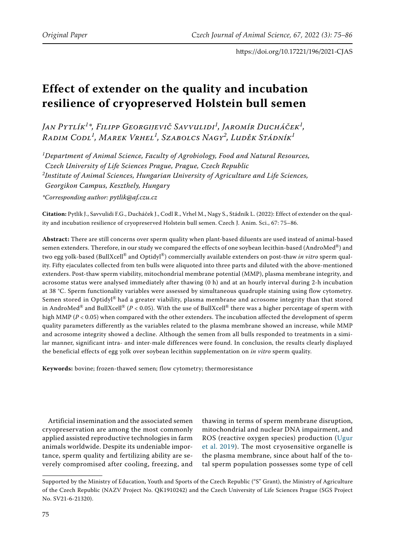# **Effect of extender on the quality and incubation resilience of cryopreserved Holstein bull semen**

*Jan Pytlík<sup>1</sup> \*, Filipp Georgijevič Savvulidi<sup>1</sup> , Jaromír Ducháček<sup>1</sup> , Radim Codl<sup>1</sup> , Marek Vrhel<sup>1</sup> , Szabolcs Nagy<sup>2</sup> , Luděk Stádník<sup>1</sup>*

*1 Department of Animal Science, Faculty of Agrobiology, Food and Natural Resources,* 

*Czech University of Life Sciences Prague, Prague, Czech Republic*

*2 Institute of Animal Sciences, Hungarian University of Agriculture and Life Sciences,* 

*Georgikon Campus, Keszthely, Hungary*

*\*Corresponding author: pytlik@af.czu.cz*

**Citation:** Pytlík J., Savvulidi F.G., Ducháček J., Codl R., Vrhel M., Nagy S., Stádník L. (2022): Effect of extender on the quality and incubation resilience of cryopreserved Holstein bull semen. Czech J. Anim. Sci., 67: 75–86.

**Abstract:** There are still concerns over sperm quality when plant-based diluents are used instead of animal-based semen extenders. Therefore, in our study we compared the effects of one soybean lecithin-based (AndroMed®) and two egg yolk-based (BullXcell® and Optidyl®) commercially available extenders on post-thaw *in vitro* sperm quality. Fifty ejaculates collected from ten bulls were aliquoted into three parts and diluted with the above-mentioned extenders. Post-thaw sperm viability, mitochondrial membrane potential (MMP), plasma membrane integrity, and acrosome status were analysed immediately after thawing (0 h) and at an hourly interval during 2-h incubation at 38 °C. Sperm functionality variables were assessed by simultaneous quadruple staining using flow cytometry. Semen stored in Optidyl® had a greater viability, plasma membrane and acrosome integrity than that stored in AndroMed® and BullXcell® (*P* < 0.05). With the use of BullXcell® there was a higher percentage of sperm with high MMP (*P* < 0.05) when compared with the other extenders. The incubation affected the development of sperm quality parameters differently as the variables related to the plasma membrane showed an increase, while MMP and acrosome integrity showed a decline. Although the semen from all bulls responded to treatments in a similar manner, significant intra- and inter-male differences were found. In conclusion, the results clearly displayed the beneficial effects of egg yolk over soybean lecithin supplementation on *in vitro* sperm quality.

**Keywords:** bovine; frozen-thawed semen; flow cytometry; thermoresistance

Artificial insemination and the associated semen cryopreservation are among the most commonly applied assisted reproductive technologies in farm animals worldwide. Despite its undeniable importance, sperm quality and fertilizing ability are severely compromised after cooling, freezing, and

thawing in terms of sperm membrane disruption, mitochondrial and nuclear DNA impairment, and ROS (reactive oxygen species) production ([Ugur](#page-11-0) [et al. 2019\)](#page-11-0). The most cryosensitive organelle is the plasma membrane, since about half of the total sperm population possesses some type of cell

Supported by the Ministry of Education, Youth and Sports of the Czech Republic ("S" Grant), the Ministry of Agriculture of the Czech Republic (NAZV Project No. QK1910242) and the Czech University of Life Sciences Prague (SGS Project No. SV21-6-21320).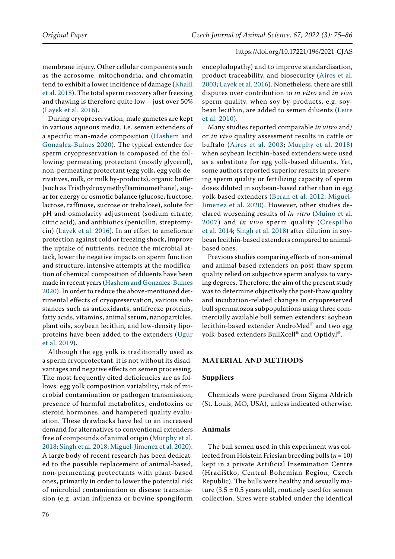membrane injury. Other cellular components such as the acrosome, mitochondria, and chromatin tend to exhibit a lower incidence of damage ([Khalil](#page-10-0)  [et al. 2018\)](#page-10-0). The total sperm recovery after freezing and thawing is therefore quite low – just over 50% [\(Layek et al. 2016\)](#page-10-1).

During cryopreservation, male gametes are kept in various aqueous media, i.e. semen extenders of a specific man-made composition ([Hashem and](#page-10-2)  [Gonzalez-Bulnes 2020](#page-10-2)). The typical extender for sperm cryopreservation is composed of the following: permeating protectant (mostly glycerol), non-permeating protectant (egg yolk, egg yolk derivatives, milk, or milk by-products), organic buffer [such as Tris(hydroxymethyl)aminomethane], sugar for energy or osmotic balance (glucose, fructose, lactose, raffinose, sucrose or trehalose), solute for pH and osmolarity adjustment (sodium citrate, citric acid), and antibiotics (penicillin, streptomycin) ([Layek et al. 2016](#page-10-1)). In an effort to ameliorate protection against cold or freezing shock, improve the uptake of nutrients, reduce the microbial attack, lower the negative impacts on sperm function and structure, intensive attempts at the modification of chemical composition of diluents have been made in recent years [\(Hashem and Gonzalez-Bulnes](#page-10-2)  [2020](#page-10-2)). In order to reduce the above-mentioned detrimental effects of cryopreservation, various substances such as antioxidants, antifreeze proteins, fatty acids, vitamins, animal serum, nanoparticles, plant oils, soybean lecithin, and low-density lipoproteins have been added to the extenders [\(Ugur](#page-11-0)  [et al. 2019\)](#page-11-0).

Although the egg yolk is traditionally used as a sperm cryoprotectant, it is not without its disadvantages and negative effects on semen processing. The most frequently cited deficiencies are as follows: egg yolk composition variability, risk of microbial contamination or pathogen transmission, presence of harmful metabolites, endotoxins or steroid hormones, and hampered quality evaluation. These drawbacks have led to an increased demand for alternatives to conventional extenders free of compounds of animal origin ([Murphy et al.](#page-10-3)  [2018;](#page-10-3) [Singh et al. 2018;](#page-11-1) [Miguel-Jimenez et al. 2020\)](#page-10-4). A large body of recent research has been dedicated to the possible replacement of animal-based, non-permeating protectants with plant-based ones, primarily in order to lower the potential risk of microbial contamination or disease transmission (e.g. avian influenza or bovine spongiform

encephalopathy) and to improve standardisation, product traceability, and biosecurity [\(Aires et al.](#page-9-0) [2003;](#page-9-0) [Layek et al. 2016](#page-10-1)). Nonetheless, there are still disputes over contribution to *in vitro* and *in vivo* sperm quality, when soy by-products, e.g. soybean lecithin, are added to semen diluents ([Leite](#page-10-5) [et al. 2010](#page-10-5)).

Many studies reported comparable *in vitro* and/ or *in vivo* quality assessment results in cattle or buffalo ([Aires et al. 2003;](#page-9-0) [Murphy et al. 2018](#page-10-3)) when soybean lecithin-based extenders were used as a substitute for egg yolk-based diluents. Yet, some authors reported superior results in preserving sperm quality or fertilizing capacity of sperm doses diluted in soybean-based rather than in egg yolk-based extenders ([Beran et al. 2012;](#page-9-1) [Miguel-](#page-10-4)[Jimenez et al. 2020](#page-10-4)). However, other studies declared worsening results of *in vitro* ([Muino et al.](#page-10-6) [2007\)](#page-10-6) and *in vivo* sperm quality ([Crespilho](#page-10-7) [et al. 2014](#page-10-7); [Singh et al. 2018\)](#page-11-1) after dilution in soybean lecithin-based extenders compared to animalbased ones.

Previous studies comparing effects of non-animal and animal based extenders on post-thaw sperm quality relied on subjective sperm analysis to varying degrees. Therefore, the aim of the present study was to determine objectively the post-thaw quality and incubation-related changes in cryopreserved bull spermatozoa subpopulations using three commercially available bull semen extenders: soybean lecithin-based extender AndroMed® and two egg yolk-based extenders BullXcell® and Optidyl®.

# **MATERIAL AND METHODS**

# **Suppliers**

Chemicals were purchased from Sigma Aldrich (St. Louis, MO, USA), unless indicated otherwise.

## **Animals**

The bull semen used in this experiment was collected from Holstein Friesian breeding bulls (*n* = 10) kept in a private Artificial Insemination Centre (Hradištko, Central Bohemian Region, Czech Republic). The bulls were healthy and sexually mature (3.5  $\pm$  0.5 years old), routinely used for semen collection. Sires were stabled under the identical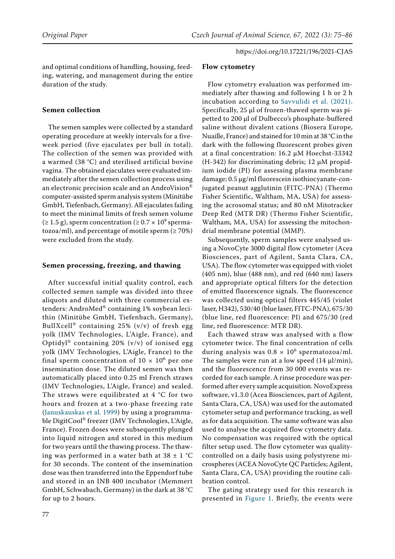and optimal conditions of handling, housing, feeding, watering, and management during the entire duration of the study.

# **Semen collection**

The semen samples were collected by a standard operating procedure at weekly intervals for a fiveweek period (five ejaculates per bull in total). The collection of the semen was provided with a warmed (38 °C) and sterilised artificial bovine vagina. The obtained ejaculates were evaluated immediately after the semen collection process using an electronic precision scale and an AndroVision® computer-assisted sperm analysis system (Minitübe GmbH, Tiefenbach, Germany). All ejaculates failing to meet the minimal limits of fresh semen volume  $(\geq 1.5 \text{ g})$ , sperm concentration ( $\geq 0.7 \times 10^9 \text{ sperma}$ tozoa/ml), and percentage of motile sperm  $(≥ 70%)$ were excluded from the study.

#### **Semen processing, freezing, and thawing**

After successful initial quality control, each collected semen sample was divided into three aliquots and diluted with three commercial extenders: AndroMed® containing 1% soybean lecithin (Minitübe GmbH, Tiefenbach, Germany), BullXcell<sup>®</sup> containing 25% (v/v) of fresh egg yolk (IMV Technologies, L'Aigle, France), and Optidyl® containing 20% (v/v) of ionised egg yolk (IMV Technologies, L'Aigle, France) to the final sperm concentration of  $10 \times 10^6$  per one insemination dose. The diluted semen was then automatically placed into 0.25 ml French straws (IMV Technologies, L'Aigle, France) and sealed. The straws were equilibrated at  $4 °C$  for two hours and frozen at a two-phase freezing rate [\(Januskauskas et al. 1999](#page-10-9)) by using a programmable DigitCool® freezer (IMV Technologies, L'Aigle, France). Frozen doses were subsequently plunged into liquid nitrogen and stored in this medium for two years until the thawing process. The thawing was performed in a water bath at  $38 \pm 1$  °C for 30 seconds. The content of the insemination dose was then transferred into the Eppendorf tube and stored in an INB 400 incubator (Memmert GmbH, Schwabach, Germany) in the dark at 38 °C for up to 2 hours.

# **Flow cytometry**

Flow cytometry evaluation was performed immediately after thawing and following 1 h or 2 h incubation according to [Savvulidi et al. \(2021\)](#page-10-8). Specifically, 25 μl of frozen-thawed sperm was pipetted to 200 μl of Dulbecco's phosphate-buffered saline without divalent cations (Biosera Europe, Nuaille, France) and stained for 10 min at 38 °C in the dark with the following fluorescent probes given at a final concentration: 16.2 µM Hoechst-33342 (H-342) for discriminating debris; 12  $\mu$ M propidium iodide (PI) for assessing plasma membrane damage; 0.5 µg/ml fluorescein isothiocyanate-conjugated peanut agglutinin (FITC-PNA) (Thermo Fisher Scientific, Waltham, MA, USA) for assessing the acrosomal status; and 80 nM Mitotracker Deep Red (MTR DR) (Thermo Fisher Scientific, Waltham, MA, USA) for assessing the mitochondrial membrane potential (MMP).

Subsequently, sperm samples were analysed using a NovoCyte 3000 digital flow cytometer (Acea Biosciences, part of Agilent, Santa Clara, CA, USA). The flow cytometer was equipped with violet (405 nm), blue (488 nm), and red (640 nm) lasers and appropriate optical filters for the detection of emitted fluorescence signals. The fluorescence was collected using optical filters 445/45 (violet laser, H342), 530/40 (blue laser, FITC-PNA), 675/30 (blue line, red fluorescence: PI) and 675/30 (red line, red fluorescence: MTR DR).

Each thawed straw was analysed with a flow cytometer twice. The final concentration of cells during analysis was  $0.8 \times 10^6$  spermatozoa/ml. The samples were run at a low speed  $(14 \mu l/min)$ , and the fluorescence from 30 000 events was recorded for each sample. A rinse procedure was performed after every sample acquisition. NovoExpress software, v1.3.0 (Acea Biosciences, part of Agilent, Santa Clara, CA, USA) was used for the automated cytometer setup and performance tracking, as well as for data acquisition. The same software was also used to analyse the acquired flow cytometry data. No compensation was required with the optical filter setup used. The flow cytometer was qualitycontrolled on a daily basis using polystyrene microspheres (ACEA NovoCyte QC Particles; Agilent, Santa Clara, CA, USA) providing the routine calibration control.

The gating strategy used for this research is presented in [Figure 1.](#page-3-0) Briefly, the events were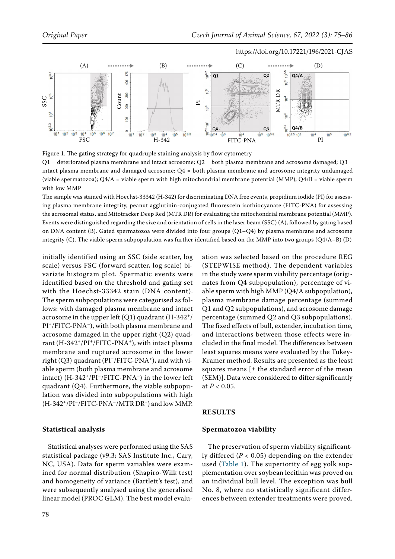<span id="page-3-0"></span>

Figure 1. The gating strategy for quadruple staining analysis by flow cytometry  $Q1$  = deteriorated plasma membrane and intact acrosome;  $Q2$  = both plasma membrane and acrosome damaged;  $Q3$  = intact plasma membrane and damaged acrosome; Q4 = both plasma membrane and acrosome integrity undamaged (viable spermatozoa); Q4/A = viable sperm with high mitochondrial membrane potential (MMP); Q4/B = viable sperm with low MMP

The sample was stained with Hoechst-33342 (H-342) for discriminating DNA free events, propidium iodide (PI) for assessing plasma membrane integrity, peanut agglutinin-conjugated fluorescein isothiocyanate (FITC-PNA) for assessing the acrosomal status, and Mitotracker Deep Red (MTR DR) for evaluating the mitochondrial membrane potential (MMP). Events were distinguished regarding the size and orientation of cells in the laser beam (SSC) (A), followed by gating based on DNA content (B). Gated spermatozoa were divided into four groups (Q1–Q4) by plasma membrane and acrosome

initially identified using an SSC (side scatter, log scale) versus FSC (forward scatter, log scale) bivariate histogram plot. Spermatic events were identified based on the threshold and gating set with the Hoechst-33342 stain (DNA content). The sperm subpopulations were categorised as follows: with damaged plasma membrane and intact acrosome in the upper left  $(Q1)$  quadrant  $(H-342<sup>+</sup>/)$ PI<sup>+</sup>/FITC-PNA<sup>-</sup>), with both plasma membrane and acrosome damaged in the upper right (Q2) quadrant (H-342+/PI+/FITC-PNA+), with intact plasma membrane and ruptured acrosome in the lower right  $(Q3)$  quadrant  $(PI^-/FITC-PNA^+)$ , and with viable sperm (both plasma membrane and acrosome intact)  $(H-342^+/PI^-/FITC-PNA^-)$  in the lower left quadrant (Q4). Furthermore, the viable subpopulation was divided into subpopulations with high  $(H-342^+/PI^-/FITC-PNA^-/MTR DR^+)$  and low MMP.

#### **Statistical analysis**

Statistical analyses were performed using the SAS statistical package (v9.3; SAS Institute Inc., Cary, NC, USA). Data for sperm variables were examined for normal distribution (Shapiro-Wilk test) and homogeneity of variance (Bartlett's test), and were subsequently analysed using the generalised linear model (PROC GLM). The best model evaluation was selected based on the procedure REG (STEPWISE method). The dependent variables in the study were sperm viability percentage (originates from Q4 subpopulation), percentage of viable sperm with high MMP (Q4/A subpopulation), plasma membrane damage percentage (summed Q1 and Q2 subpopulations), and acrosome damage percentage (summed Q2 and Q3 subpopulations). The fixed effects of bull, extender, incubation time, and interactions between those effects were included in the final model. The differences between least squares means were evaluated by the Tukey-Kramer method. Results are presented as the least squares means  $\left[\pm\right]$  the standard error of the mean (SEM)]. Data were considered to differ significantly at *P* < 0.05.

#### **RESULTS**

#### **Spermatozoa viability**

The preservation of sperm viability significantly differed (*P* < 0.05) depending on the extender used (Table 1). The superiority of egg yolk supplementation over soybean lecithin was proved on an individual bull level. The exception was bull No. 8, where no statistically significant differences between extender treatments were proved.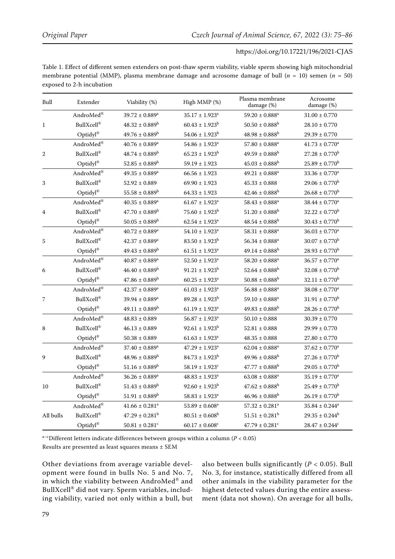Table 1. Effect of different semen extenders on post-thaw sperm viability, viable sperm showing high mitochondrial membrane potential (MMP), plasma membrane damage and acrosome damage of bull  $(n = 10)$  semen  $(n = 50)$ exposed to 2-h incubation

| Bull           | Extender                                    | Viability (%)                  | High MMP (%)                   | Plasma membrane<br>damage (%)  | Acrosome<br>damage (%)         |
|----------------|---------------------------------------------|--------------------------------|--------------------------------|--------------------------------|--------------------------------|
|                | AndroMed ${}^{\circledR}$                   | $39.72 \pm 0.889$ <sup>a</sup> | $35.17 \pm 1.923$ <sup>a</sup> | $59.20 \pm 0.888$ <sup>a</sup> | $31.00 \pm 0.770$              |
| $\mathbf{1}$   | <b>BullXcell®</b>                           | $48.32 \pm 0.889^b$            | $60.43 \pm 1.923^b$            | $50.50 \pm 0.888$ <sup>b</sup> | $28.10 \pm 0.770$              |
|                | $\mathop{\rm Optidyl}\nolimits^{\circledR}$ | $49.76 \pm 0.889^b$            | $54.06 \pm 1.923^b$            | $48.98 \pm 0.888$ <sup>b</sup> | $29.39 \pm 0.770$              |
|                | $\mathbf{AndroMed}^\circledR$               | $40.76 \pm 0.889$ <sup>a</sup> | $54.86 \pm 1.923$ <sup>a</sup> | $57.80 \pm 0.888$ <sup>a</sup> | $41.73 \pm 0.770$ <sup>a</sup> |
| $\overline{2}$ | $\text{Bulkcell}^{\circledR}$               | $48.74 \pm 0.889^b$            | $65.23 \pm 1.923^b$            | $49.59 \pm 0.888$ <sup>b</sup> | $27.28 \pm 0.770^b$            |
|                | Optidyl®                                    | $52.85 \pm 0.889^b$            | $59.19 \pm 1.923$              | $45.03 \pm 0.888$ <sup>b</sup> | $25.89 \pm 0.770^b$            |
|                | $\mathbf{AndroMed}^\circledR$               | $49.35 \pm 0.889$ <sup>a</sup> | $66.56 \pm 1.923$              | $49.21 \pm 0.888$ <sup>a</sup> | $33.36 \pm 0.770^a$            |
| 3              | <b>BullXcell®</b>                           | $52.92 \pm 0.889$              | $69.90 \pm 1.923$              | $45.33 \pm 0.888$              | $29.06 \pm 0.770^b$            |
|                | $\mathop{\rm Optidyl}\nolimits^{\circledR}$ | $55.58 \pm 0.889^b$            | $64.33 \pm 1.923$              | $42.46 \pm 0.888$ <sup>b</sup> | $26.68 \pm 0.770^b$            |
| 4              | $\mathbf{AndroMed}^\circledR$               | $40.35 \pm 0.889$ <sup>a</sup> | $61.67 \pm 1.923$ <sup>a</sup> | $58.43 \pm 0.888$ <sup>a</sup> | $38.44 \pm 0.770$ <sup>a</sup> |
|                | $\text{Bulkcell}^{\circledR}$               | $47.70 \pm 0.889^b$            | $75.60 \pm 1.923^b$            | $51.20 \pm 0.888$ <sup>b</sup> | $32.22 \pm 0.770^b$            |
|                | Optidyl®                                    | $50.05 \pm 0.889^b$            | $62.54 \pm 1.923$ <sup>a</sup> | $48.54 \pm 0.888$ <sup>b</sup> | $30.43 \pm 0.770^b$            |
|                | $\mathbf{AndroMed}^\circledR$               | $40.72 \pm 0.889$ <sup>a</sup> | $54.10 \pm 1.923$ <sup>a</sup> | $58.31 \pm 0.888$ <sup>a</sup> | $36.03 \pm 0.770^a$            |
| 5              | <b>BullXcell®</b>                           | $42.37 \pm 0.889$ <sup>a</sup> | $83.50 \pm 1.923^b$            | $56.34 \pm 0.888$ <sup>a</sup> | $30.07 \pm 0.770^b$            |
|                | $\mathop{\rm Optidyl}\nolimits^{\circledR}$ | $49.43 \pm 0.889^b$            | $61.51 \pm 1.923$ <sup>a</sup> | $49.14 \pm 0.888$ <sup>b</sup> | $28.93\pm0.770^{\mathrm{b}}$   |
|                | AndroMed $^{\circledR}$                     | $40.87 \pm 0.889$ <sup>a</sup> | $52.50 \pm 1.923$ <sup>a</sup> | $58.20 \pm 0.888$ <sup>a</sup> | $36.57 \pm 0.770$ <sup>a</sup> |
| 6              | $\text{Bulkcell}^{\circledR}$               | $46.40 \pm 0.889^b$            | $91.21 \pm 1.923^b$            | $52.64 \pm 0.888$ <sup>b</sup> | $32.08 \pm 0.770^b$            |
|                | Optidyl®                                    | $47.86 \pm 0.889^b$            | $60.25 \pm 1.923$ <sup>a</sup> | $50.88 \pm 0.888$ <sup>b</sup> | $32.11\pm0.770^{\mathrm{b}}$   |
| 7              | AndroMed®                                   | $42.37 \pm 0.889$ <sup>a</sup> | $61.03 \pm 1.923$ <sup>a</sup> | $56.88 \pm 0.888$ <sup>a</sup> | $38.08 \pm 0.770^a$            |
|                | <b>BullXcell®</b>                           | $39.94 \pm 0.889$ <sup>a</sup> | $89.28 \pm 1.923^b$            | $59.10 \pm 0.888$ <sup>a</sup> | $31.91 \pm 0.770$ <sup>b</sup> |
|                | $\mathop{\rm Optidyl}\nolimits^{\circledR}$ | $49.11 \pm 0.889^b$            | $61.19 \pm 1.923$ <sup>a</sup> | $49.83 \pm 0.888$ <sup>b</sup> | $28.26 \pm 0.770^b$            |
| 8              | AndroMed $^{\circledR}$                     | $48.83 \pm 0.889$              | $56.87 \pm 1.923$ <sup>a</sup> | $50.10 \pm 0.888$              | $30.39 \pm 0.770$              |
|                | $\text{Bulkcell}^{\circledR}$               | $46.13 \pm 0.889$              | $92.61 \pm 1.923^b$            | $52.81 \pm 0.888$              | $29.99 \pm 0.770$              |
|                | $\mathop{\rm Optidyl}\nolimits^{\circledR}$ | $50.38 \pm 0.889$              | $61.63 \pm 1.923$ <sup>a</sup> | $48.35 \pm 0.888$              | $27.80 \pm 0.770$              |
| 9              | AndroMed $^{\circledR}$                     | $37.40 \pm 0.889$ <sup>a</sup> | $47.29 \pm 1.923$ <sup>a</sup> | $62.04 \pm 0.888$ <sup>a</sup> | $37.62 \pm 0.770$ <sup>a</sup> |
|                | $\text{Bulkcell}^{\circledR}$               | $48.96 \pm 0.889^b$            | $84.73 \pm 1.923^b$            | $49.96 \pm 0.888$ <sup>b</sup> | $27.26 \pm 0.770^b$            |
|                | $\mathop{\rm Optidyl}\nolimits^{\circledR}$ | $51.16 \pm 0.889^b$            | $58.19 \pm 1.923$ <sup>c</sup> | $47.77 \pm 0.888$ <sup>b</sup> | $29.05 \pm 0.770^b$            |
| 10             | $\mathbf{AndroMed}^\circledR$               | $36.26 \pm 0.889$ <sup>a</sup> | $48.83 \pm 1.923^a$            | $63.08 \pm 0.888$ <sup>a</sup> | $35.19 \pm 0.770^a$            |
|                | $\text{Bulkcell}^{\circledR}$               | $51.43 \pm 0.889^b$            | $92.60 \pm 1.923^b$            | $47.62 \pm 0.888$ <sup>b</sup> | $25.49 \pm 0.770^b$            |
|                | $\mathop{\rm Optidyl}\nolimits^{\circledR}$ | $51.91 \pm 0.889^b$            | $58.83 \pm 1.923^a$            | $46.96 \pm 0.888$ <sup>b</sup> | $26.19 \pm 0.770^b$            |
|                | AndroMed $^{\circledR}$                     | $41.66 \pm 0.281$ <sup>a</sup> | $53.89 \pm 0.608^a$            | $57.32 \pm 0.281$ <sup>a</sup> | $35.84 \pm 0.244^a$            |
| All bulls      | BullXcell®                                  | $47.29 \pm 0.281^b$            | $80.51 \pm 0.608^b$            | $51.51 \pm 0.281$ <sup>b</sup> | $29.35 \pm 0.244^b$            |
|                | $\mathop{\rm Optidyl}\nolimits^{\circledR}$ | $50.81 \pm 0.281$ <sup>c</sup> | $60.17 \pm 0.608$ <sup>c</sup> | $47.79 \pm 0.281$ <sup>c</sup> | $28.47 \pm 0.244$ <sup>c</sup> |

a–c Different letters indicate differences between groups within a column (*P* < 0.05)

Results are presented as least squares means ± SEM

Other deviations from average variable development were found in bulls No. 5 and No. 7, in which the viability between AndroMed® and BullXcell® did not vary. Sperm variables, including viability, varied not only within a bull, but also between bulls significantly (*P* < 0.05). Bull No. 3, for instance, statistically differed from all other animals in the viability parameter for the highest detected values during the entire assessment (data not shown). On average for all bulls,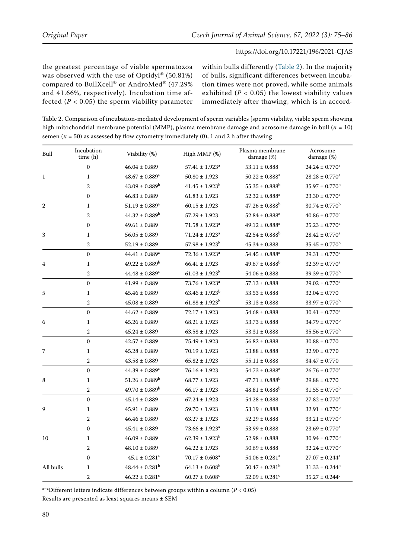the greatest percentage of viable spermatozoa was observed with the use of Optidyl® (50.81%) compared to BullXcell® or AndroMed® (47.29% and 41.66%, respectively). Incubation time affected  $(P < 0.05)$  the sperm viability parameter within bulls differently (Table 2). In the majority of bulls, significant differences between incubation times were not proved, while some animals exhibited ( $P < 0.05$ ) the lowest viability values immediately after thawing, which is in accord-

Table 2. Comparison of incubation-mediated development of sperm variables [sperm viability, viable sperm showing high mitochondrial membrane potential (MMP), plasma membrane damage and acrosome damage in bull (*n* = 10) semen ( $n = 50$ ) as assessed by flow cytometry immediately (0), 1 and 2 h after thawing

| Bull         | Incubation<br>time (h) | Viability (%)                  | High MMP $(\%)$                | Plasma membrane<br>damage (%)  | Acrosome<br>damage (%)         |
|--------------|------------------------|--------------------------------|--------------------------------|--------------------------------|--------------------------------|
|              | $\boldsymbol{0}$       | $46.04 \pm 0.889$              | $57.41 \pm 1.923$ <sup>a</sup> | $53.11 \pm 0.888$              | $24.24 \pm 0.770$ <sup>a</sup> |
| $\mathbf{1}$ | $\mathbf{1}$           | $48.67 \pm 0.889$ <sup>a</sup> | $50.80 \pm 1.923$              | $50.22 \pm 0.888$ <sup>a</sup> | $28.28 \pm 0.770^a$            |
|              | $\overline{2}$         | $43.09 \pm 0.889^b$            | $41.45 \pm 1.923^b$            | $55.35 \pm 0.888$ <sup>b</sup> | $35.97 \pm 0.770^b$            |
|              | $\mathbf{0}$           | $46.83 \pm 0.889$              | $61.83 \pm 1.923$              | $52.32 \pm 0.888$ <sup>a</sup> | $23.30 \pm 0.770^a$            |
| 2            | $\mathbf{1}$           | $51.19 \pm 0.889$ <sup>a</sup> | $60.15 \pm 1.923$              | $47.26 \pm 0.888$ <sup>b</sup> | $30.74 \pm 0.770^b$            |
|              | $\overline{2}$         | $44.32 \pm 0.889^b$            | $57.29 \pm 1.923$              | $52.84 \pm 0.888$ <sup>a</sup> | $40.86 \pm 0.770$ <sup>c</sup> |
|              | $\boldsymbol{0}$       | $49.61 \pm 0.889$              | $71.58 \pm 1.923$ <sup>a</sup> | $49.12 \pm 0.888$ <sup>a</sup> | $25.23 \pm 0.770$ <sup>a</sup> |
| 3            | $\mathbf{1}$           | $56.05 \pm 0.889$              | $71.24 \pm 1.923$ <sup>a</sup> | $42.54 \pm 0.888^b$            | $28.42 \pm 0.770$ <sup>a</sup> |
|              | $\overline{2}$         | $52.19 \pm 0.889$              | $57.98 \pm 1.923^b$            | $45.34 \pm 0.888$              | $35.45 \pm 0.770^b$            |
|              | $\mathbf{0}$           | $44.41 \pm 0.889$ <sup>a</sup> | $72.36 \pm 1.923$ <sup>a</sup> | $54.45 \pm 0.888$ <sup>a</sup> | $29.31 \pm 0.770^a$            |
| 4            | $\mathbf{1}$           | $49.22 \pm 0.889^b$            | $66.41 \pm 1.923$              | $49.67 \pm 0.888$ <sup>b</sup> | $32.39 \pm 0.770^a$            |
|              | $\overline{2}$         | $44.48 \pm 0.889$ <sup>a</sup> | $61.03 \pm 1.923^b$            | $54.06 \pm 0.888$              | $39.39 \pm 0.770^b$            |
|              | $\mathbf{0}$           | $41.99 \pm 0.889$              | $73.76 \pm 1.923$ <sup>a</sup> | $57.13 \pm 0.888$              | $29.02 \pm 0.770^a$            |
| 5            | $\mathbf{1}$           | $45.46 \pm 0.889$              | $63.46 \pm 1.923^b$            | $53.53 \pm 0.888$              | $32.04 \pm 0.770$              |
|              | $\sqrt{2}$             | $45.08 \pm 0.889$              | $61.88 \pm 1.923^b$            | $53.13 \pm 0.888$              | $33.97 \pm 0.770^b$            |
|              | $\mathbf{0}$           | $44.62 \pm 0.889$              | $72.17 \pm 1.923$              | $54.68 \pm 0.888$              | $30.41 \pm 0.770$ <sup>a</sup> |
| 6            | $\mathbf{1}$           | $45.26 \pm 0.889$              | $68.21 \pm 1.923$              | $53.73 \pm 0.888$              | $34.79 \pm 0.770^b$            |
|              | $\mathbf{2}$           | $45.24 \pm 0.889$              | $63.58 \pm 1.923$              | $53.31 \pm 0.888$              | $35.56 \pm 0.770^b$            |
|              | $\mathbf{0}$           | $42.57 \pm 0.889$              | $75.49 \pm 1.923$              | $56.82 \pm 0.888$              | $30.88 \pm 0.770$              |
| 7            | $\mathbf{1}$           | $45.28 \pm 0.889$              | $70.19 \pm 1.923$              | $53.88 \pm 0.888$              | $32.90 \pm 0.770$              |
|              | $\overline{2}$         | $43.58 \pm 0.889$              | $65.82 \pm 1.923$              | $55.11\pm0.888$                | $34.47 \pm 0.770$              |
|              | $\boldsymbol{0}$       | $44.39 \pm 0.889$ <sup>a</sup> | $76.16 \pm 1.923$              | $54.73 \pm 0.888$ <sup>a</sup> | $26.76 \pm 0.770$ <sup>a</sup> |
| 8            | $\mathbf{1}$           | $51.26 \pm 0.889^b$            | $68.77 \pm 1.923$              | $47.71 \pm 0.888$ <sup>b</sup> | $29.88 \pm 0.770$              |
|              | $\overline{2}$         | $49.70 \pm 0.889^b$            | $66.17 \pm 1.923$              | $48.81 \pm 0.888$ <sup>b</sup> | $31.55 \pm 0.770^b$            |
|              | $\mathbf{0}$           | $45.14 \pm 0.889$              | $67.24 \pm 1.923$              | $54.28 \pm 0.888$              | $27.82 \pm 0.770^a$            |
| 9            | $\mathbf{1}$           | $45.91 \pm 0.889$              | $59.70 \pm 1.923$              | $53.19 \pm 0.888$              | $32.91 \pm 0.770^b$            |
|              | $\overline{2}$         | $46.46 \pm 0.889$              | $63.27 \pm 1.923$              | $52.29 \pm 0.888$              | $33.21 \pm 0.770^b$            |
|              | $\mathbf{0}$           | $45.41 \pm 0.889$              | $73.66 \pm 1.923$ <sup>a</sup> | $53.99 \pm 0.888$              | $23.69 \pm 0.770^a$            |
| 10           | $\mathbf{1}$           | $46.09 \pm 0.889$              | $62.39 \pm 1.923^b$            | $52.98 \pm 0.888$              | $30.94 \pm 0.770^b$            |
|              | $\sqrt{2}$             | $48.10 \pm 0.889$              | $64.22 \pm 1.923$              | $50.69\pm0.888$                | $32.24 \pm 0.770^b$            |
|              | $\mathbf{0}$           | $45.1 \pm 0.281$ <sup>a</sup>  | $70.17 \pm 0.608$ <sup>a</sup> | $54.06 \pm 0.281$ <sup>a</sup> | $27.07 \pm 0.244^a$            |
| All bulls    | $\mathbf{1}$           | $48.44 \pm 0.281^b$            | $64.13 \pm 0.608^b$            | $50.47 \pm 0.281^b$            | $31.33 \pm 0.244^b$            |
|              | $\overline{2}$         | $46.22 \pm 0.281$ <sup>c</sup> | $60.27 \pm 0.608$ <sup>c</sup> | $52.09 \pm 0.281$ <sup>c</sup> | $35.27 \pm 0.244$ <sup>c</sup> |

a–c Different letters indicate differences between groups within a column (*P* < 0.05)

Results are presented as least squares means ± SEM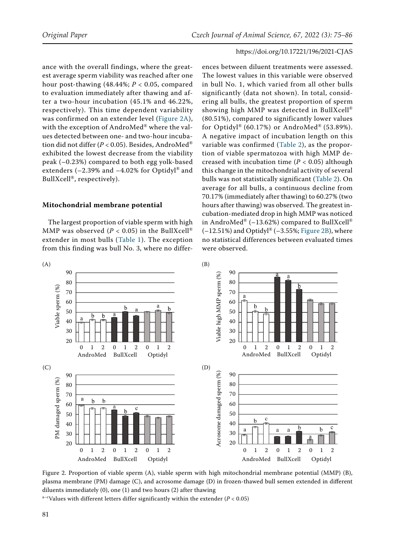ance with the overall findings, where the greatest average sperm viability was reached after one hour post-thawing  $(48.44\%; P < 0.05$ , compared to evaluation immediately after thawing and after a two-hour incubation (45.1% and 46.22%, respectively). This time dependent variability was confirmed on an extender level ([Figure 2A](#page-6-0)), with the exception of AndroMed® where the values detected between one- and two-hour incubation did not differ (*P* < 0.05). Besides, AndroMed® exhibited the lowest decrease from the viability peak (–0.23%) compared to both egg yolk-based extenders (–2.39% and –4.02% for Optidyl® and BullXcell®, respectively).

#### **Mitochondrial membrane potential**

<span id="page-6-1"></span>The largest proportion of viable sperm with high MMP was observed ( $P < 0.05$ ) in the BullXcell<sup>®</sup> extender in most bulls (Table 1). The exception from this finding was bull No. 3, where no differ-

ences between diluent treatments were assessed. The lowest values in this variable were observed in bull No. 1, which varied from all other bulls significantly (data not shown). In total, considering all bulls, the greatest proportion of sperm showing high MMP was detected in BullXcell® (80.51%), compared to significantly lower values for Optidyl® (60.17%) or AndroMed® (53.89%). A negative impact of incubation length on this variable was confirmed (Table 2), as the proportion of viable spermatozoa with high MMP decreased with incubation time ( $P < 0.05$ ) although this change in the mitochondrial activity of several bulls was not statistically significant (Table 2). On average for all bulls, a continuous decline from 70.17% (immediately after thawing) to 60.27% (two hours after thawing) was observed. The greatest incubation-mediated drop in high MMP was noticed in AndroMed® (-13.62%) compared to BullXcell®  $(-12.51\%)$  and Optidyl® (-3.55%; [Figure 2B](#page-6-1)), where no statistical differences between evaluated times were observed.

<span id="page-6-0"></span>

<span id="page-6-3"></span><span id="page-6-2"></span>Figure 2. Proportion of viable sperm (A), viable sperm with high mitochondrial membrane potential (MMP) (B), plasma membrane (PM) damage (C), and acrosome damage (D) in frozen-thawed bull semen extended in different diluents immediately (0), one (1) and two hours (2) after thawing

a–c Values with different letters differ significantly within the extender (*P* < 0.05)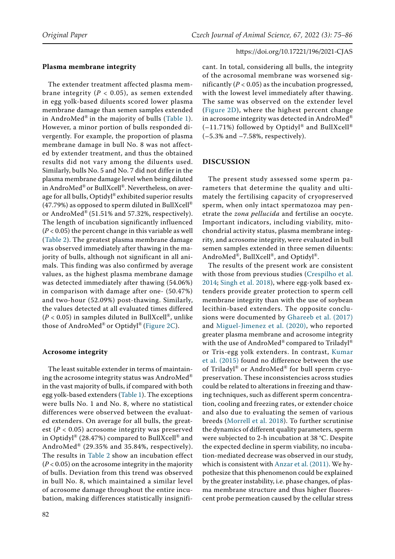# **Plasma membrane integrity**

The extender treatment affected plasma membrane integrity ( $P < 0.05$ ), as semen extended in egg yolk-based diluents scored lower plasma membrane damage than semen samples extended in AndroMed<sup>®</sup> in the majority of bulls (Table 1). However, a minor portion of bulls responded divergently. For example, the proportion of plasma membrane damage in bull No. 8 was not affected by extender treatment, and thus the obtained results did not vary among the diluents used. Similarly, bulls No. 5 and No. 7 did not differ in the plasma membrane damage level when being diluted in AndroMed® or BullXcell®. Nevertheless, on average for all bulls, Optidyl® exhibited superior results (47.79%) as opposed to sperm diluted in BullXcell<sup>®</sup> or AndroMed® (51.51% and 57.32%, respectively). The length of incubation significantly influenced (*P* < 0.05) the percent change in this variable as well (Table 2). The greatest plasma membrane damage was observed immediately after thawing in the majority of bulls, although not significant in all animals. This finding was also confirmed by average values, as the highest plasma membrane damage was detected immediately after thawing (54.06%) in comparison with damage after one- (50.47%) and two-hour (52.09%) post-thawing. Similarly, the values detected at all evaluated times differed  $(P < 0.05)$  in samples diluted in BullXcell<sup>®</sup>, unlike those of AndroMed<sup>®</sup> or Optidyl<sup>®</sup> [\(Figure 2C](#page-6-2)).

# **Acrosome integrity**

The least suitable extender in terms of maintaining the acrosome integrity status was AndroMed<sup>®</sup> in the vast majority of bulls, if compared with both egg yolk-based extenders (Table 1). The exceptions were bulls No. 1 and No. 8, where no statistical differences were observed between the evaluated extenders. On average for all bulls, the greatest ( $P < 0.05$ ) acrosome integrity was preserved in Optidyl® (28.47%) compared to BullXcell® and AndroMed® (29.35% and 35.84%, respectively). The results in Table 2 show an incubation effect (*P* < 0.05) on the acrosome integrity in the majority of bulls. Deviation from this trend was observed in bull No. 8, which maintained a similar level of acrosome damage throughout the entire incubation, making differences statistically insignificant. In total, considering all bulls, the integrity of the acrosomal membrane was worsened significantly  $(P < 0.05)$  as the incubation progressed, with the lowest level immediately after thawing. The same was observed on the extender level ([Figure 2D\)](#page-6-3), where the highest percent change in acrosome integrity was detected in AndroMed®  $(-11.71%)$  followed by Optidyl® and BullXcell® (–5.3% and –7.58%, respectively).

# **DISCUSSION**

The present study assessed some sperm parameters that determine the quality and ultimately the fertilising capacity of cryopreserved sperm, when only intact spermatozoa may penetrate the *zona pellucida* and fertilise an oocyte. Important indicators, including viability, mitochondrial activity status, plasma membrane integrity, and acrosome integrity, were evaluated in bull semen samples extended in three semen diluents: AndroMed®, BullXcell®, and Optidyl®.

The results of the present work are consistent with those from previous studies [\(Crespilho et al.](#page-10-7) [2014](#page-10-7); [Singh et al. 2018\)](#page-11-1), where egg-yolk based extenders provide greater protection to sperm cell membrane integrity than with the use of soybean lecithin-based extenders. The opposite conclusions were documented by [Ghareeb et al. \(2017\)](#page-10-10) and [Miguel-Jimenez et al. \(2020\),](#page-10-4) who reported greater plasma membrane and acrosome integrity with the use of AndroMed® compared to Triladyl® or Tris-egg yolk extenders. In contrast, [Kumar](#page-10-11) [et al. \(2015\)](#page-10-11) found no difference between the use of Triladyl® or AndroMed® for bull sperm cryopreservation. These inconsistencies across studies could be related to alterations in freezing and thawing techniques, such as different sperm concentration, cooling and freezing rates, or extender choice and also due to evaluating the semen of various breeds ([Morrell et al. 2018](#page-10-12)). To further scrutinise the dynamics of different quality parameters, sperm were subjected to 2-h incubation at 38 **°**C. Despite the expected decline in sperm viability, no incubation-mediated decrease was observed in our study, which is consistent with [Anzar et al. \(2011\).](#page-9-2) We hypothesize that this phenomenon could be explained by the greater instability, i.e. phase changes, of plasma membrane structure and thus higher fluorescent probe permeation caused by the cellular stress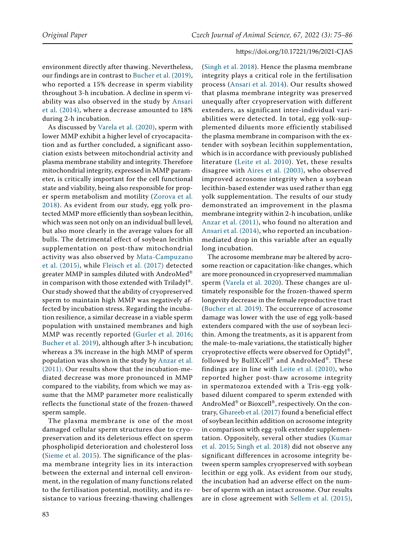environment directly after thawing. Nevertheless, our findings are in contrast to [Bucher et al. \(2019\)](#page-10-13), who reported a 15% decrease in sperm viability throughout 3-h incubation. A decline in sperm viability was also observed in the study by [Ansari](#page-9-3)  [et al. \(2014\),](#page-9-3) where a decrease amounted to 18% during 2-h incubation.

As discussed by [Varela et al. \(2020\)](#page-11-2), sperm with lower MMP exhibit a higher level of cryocapacitation and as further concluded, a significant association exists between mitochondrial activity and plasma membrane stability and integrity. Therefore mitochondrial integrity, expressed in MMP parameter, is critically important for the cell functional state and viability, being also responsible for proper sperm metabolism and motility ([Zorova et al.](#page-11-3)  [2018](#page-11-3)). As evident from our study, egg yolk protected MMP more efficiently than soybean lecithin, which was seen not only on an individual bull level, but also more clearly in the average values for all bulls. The detrimental effect of soybean lecithin supplementation on post-thaw mitochondrial activity was also observed by [Mata-Campuzano](#page-10-14)  [et al. \(2015\)](#page-10-14), while [Fleisch et al. \(2017\)](#page-10-15) detected greater MMP in samples diluted with AndroMed® in comparison with those extended with Triladyl®. Our study showed that the ability of cryopreserved sperm to maintain high MMP was negatively affected by incubation stress. Regarding the incubation resilience, a similar decrease in a viable sperm population with unstained membranes and high MMP was recently reported [\(Gurler et al. 2016](#page-10-16); [Bucher et al. 2019](#page-10-13)), although after 3-h incubation; whereas a 3% increase in the high MMP of sperm population was shown in the study by [Anzar et al.](#page-9-2)  [\(2011\)](#page-9-2). Our results show that the incubation-mediated decrease was more pronounced in MMP compared to the viability, from which we may assume that the MMP parameter more realistically reflects the functional state of the frozen-thawed sperm sample.

The plasma membrane is one of the most damaged cellular sperm structures due to cryopreservation and its deleterious effect on sperm phospholipid deterioration and cholesterol loss ([Sieme et al. 2015\)](#page-11-4). The significance of the plasma membrane integrity lies in its interaction between the external and internal cell environment, in the regulation of many functions related to the fertilisation potential, motility, and its resistance to various freezing-thawing challenges ([Singh et al. 2018\)](#page-11-1). Hence the plasma membrane integrity plays a critical role in the fertilisation process ([Ansari et al. 2014](#page-9-3)). Our results showed that plasma membrane integrity was preserved unequally after cryopreservation with different extenders, as significant inter-individual variabilities were detected. In total, egg yolk-supplemented diluents more efficiently stabilised the plasma membrane in comparison with the extender with soybean lecithin supplementation, which is in accordance with previously published literature ([Leite et al. 2010\)](#page-10-5). Yet, these results disagree with [Aires et al. \(2003\),](#page-9-0) who observed improved acrosome integrity when a soybean lecithin-based extender was used rather than egg yolk supplementation. The results of our study demonstrated an improvement in the plasma membrane integrity within 2-h incubation, unlike [Anzar et al. \(2011\)](#page-9-2), who found no alteration and [Ansari et al. \(2014\),](#page-9-3) who reported an incubationmediated drop in this variable after an equally long incubation.

The acrosome membrane may be altered by acrosome reaction or capacitation-like changes, which are more pronounced in cryopreserved mammalian sperm ([Varela et al. 2020](#page-11-2)). These changes are ultimately responsible for the frozen-thawed sperm longevity decrease in the female reproductive tract ([Bucher et al. 2019\)](#page-10-13). The occurrence of acrosome damage was lower with the use of egg yolk-based extenders compared with the use of soybean lecithin. Among the treatments, as it is apparent from the male-to-male variations, the statistically higher cryoprotective effects were observed for Optidyl®, followed by BullXcell® and AndroMed®. These findings are in line with [Leite et al. \(2010\),](#page-10-5) who reported higher post-thaw acrosome integrity in spermatozoa extended with a Tris-egg yolkbased diluent compared to sperm extended with AndroMed® or Bioxcell®, respectively. On the contrary, [Ghareeb et al. \(2017\)](#page-10-10) found a beneficial effect of soybean lecithin addition on acrosome integrity in comparison with egg-yolk extender supplementation. Oppositely, several other studies ([Kumar](#page-10-11)  [et al. 2015;](#page-10-11) [Singh et al. 2018\)](#page-11-1) did not observe any significant differences in acrosome integrity between sperm samples cryopreserved with soybean lecithin or egg yolk. As evident from our study, the incubation had an adverse effect on the number of sperm with an intact acrosome. Our results are in close agreement with [Sellem et al. \(2015\),](#page-10-17)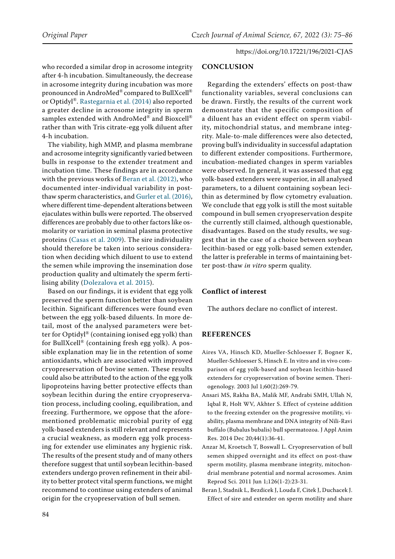who recorded a similar drop in acrosome integrity after 4-h incubation. Simultaneously, the decrease in acrosome integrity during incubation was more pronounced in AndroMed® compared to BullXcell® or Optidyl®. [Rastegarnia et al. \(2014\)](#page-10-18) also reported a greater decline in acrosome integrity in sperm samples extended with AndroMed® and Bioxcell® rather than with Tris citrate-egg yolk diluent after 4-h incubation.

The viability, high MMP, and plasma membrane and acrosome integrity significantly varied between bulls in response to the extender treatment and incubation time. These findings are in accordance with the previous works of [Beran et al. \(2012\)](#page-9-1), who documented inter-individual variability in postthaw sperm characteristics, and [Gurler et al. \(2016\),](#page-10-16) where different time-dependent alterations between ejaculates within bulls were reported. The observed differences are probably due to other factors like osmolarity or variation in seminal plasma protective proteins ([Casas et al. 2009](#page-10-19)). The sire individuality should therefore be taken into serious consideration when deciding which diluent to use to extend the semen while improving the insemination dose production quality and ultimately the sperm fertilising ability ([Dolezalova et al. 2015\)](#page-10-20).

Based on our findings, it is evident that egg yolk preserved the sperm function better than soybean lecithin. Significant differences were found even between the egg yolk-based diluents. In more detail, most of the analysed parameters were better for Optidyl® (containing ionised egg yolk) than for BullXcell® (containing fresh egg yolk). A possible explanation may lie in the retention of some antioxidants, which are associated with improved cryopreservation of bovine semen. These results could also be attributed to the action of the egg yolk lipoproteins having better protective effects than soybean lecithin during the entire cryopreservation process, including cooling, equilibration, and freezing. Furthermore, we oppose that the aforementioned problematic microbial purity of egg yolk-based extenders is still relevant and represents a crucial weakness, as modern egg yolk processing for extender use eliminates any hygienic risk. The results of the present study and of many others therefore suggest that until soybean lecithin-based extenders undergo proven refinement in their ability to better protect vital sperm functions, we might recommend to continue using extenders of animal origin for the cryopreservation of bull semen.

#### **CONCLUSION**

Regarding the extenders' effects on post-thaw functionality variables, several conclusions can be drawn. Firstly, the results of the current work demonstrate that the specific composition of a diluent has an evident effect on sperm viability, mitochondrial status, and membrane integrity. Male-to-male differences were also detected, proving bull's individuality in successful adaptation to different extender compositions. Furthermore, incubation-mediated changes in sperm variables were observed. In general, it was assessed that egg yolk-based extenders were superior, in all analysed parameters, to a diluent containing soybean lecithin as determined by flow cytometry evaluation. We conclude that egg yolk is still the most suitable compound in bull semen cryopreservation despite the currently still claimed, although questionable, disadvantages. Based on the study results, we suggest that in the case of a choice between soybean lecithin-based or egg yolk-based semen extender, the latter is preferable in terms of maintaining better post-thaw *in vitro* sperm quality.

# **Conflict of interest**

The authors declare no conflict of interest.

## **References**

- <span id="page-9-0"></span>Aires VA, Hinsch KD, Mueller-Schloesser F, Bogner K, Mueller-Schloesser S, Hinsch E. In vitro and in vivo comparison of egg yolk-based and soybean lecithin-based extenders for cryopreservation of bovine semen. Theriogenology. 2003 Jul 1;60(2):269-79.
- <span id="page-9-3"></span>Ansari MS, Rakha BA, Malik MF, Andrabi SMH, Ullah N, Iqbal R, Holt WV, Akhter S. Effect of cysteine addition to the freezing extender on the progressive motility, viability, plasma membrane and DNA integrity of Nili-Ravi buffalo (Bubalus bubalis) bull spermatozoa. J Appl Anim Res. 2014 Dec 20;44(1):36-41.
- <span id="page-9-2"></span>Anzar M, Kroetsch T, Boswall L. Cryopreservation of bull semen shipped overnight and its effect on post-thaw sperm motility, plasma membrane integrity, mitochondrial membrane potential and normal acrosomes. Anim Reprod Sci. 2011 Jun 1;126(1-2):23-31.
- <span id="page-9-1"></span>Beran J, Stadnik L, Bezdicek J, Louda F, Citek J, Duchacek J. Effect of sire and extender on sperm motility and share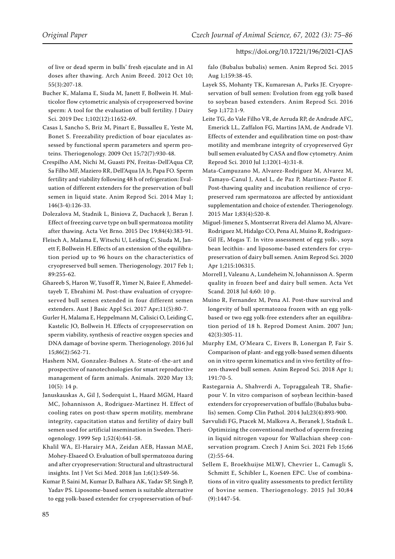of live or dead sperm in bulls' fresh ejaculate and in AI doses after thawing. Arch Anim Breed. 2012 Oct 10; 55(3):207-18.

- <span id="page-10-13"></span>Bucher K, Malama E, Siuda M, Janett F, Bollwein H. Multicolor flow cytometric analysis of cryopreserved bovine sperm: A tool for the evaluation of bull fertility. J Dairy Sci. 2019 Dec 1;102(12):11652-69.
- <span id="page-10-19"></span>Casas I, Sancho S, Briz M, Pinart E, Bussalleu E, Yeste M, Bonet S. Freezability prediction of boar ejaculates assessed by functional sperm parameters and sperm proteins. Theriogenology. 2009 Oct 15;72(7):930-48.
- <span id="page-10-7"></span>Crespilho AM, Nichi M, Guasti PN, Freitas-Dell'Aqua CP, Sa Filho MF, Maziero RR, Dell'Aqua JA Jr, Papa FO. Sperm fertility and viability following 48 h of refrigeration: Evaluation of different extenders for the preservation of bull semen in liquid state. Anim Reprod Sci. 2014 May 1; 146(3-4):126-33.
- <span id="page-10-20"></span>Dolezalova M, Stadnik L, Biniova Z, Duchacek J, Beran J. Effect of freezing curve type on bull spermatozoa motility after thawing. Acta Vet Brno. 2015 Dec 19;84(4):383-91.
- <span id="page-10-15"></span>Fleisch A, Malama E, Witschi U, Leiding C, Siuda M, Janett F, Bollwein H. Effects of an extension of the equilibration period up to 96 hours on the characteristics of cryopreserved bull semen. Theriogenology. 2017 Feb 1; 89:255-62.
- <span id="page-10-10"></span>Ghareeb S, Haron W, Yusoff R, Yimer N, Baiee F, Ahmedeltayeb T, Ebrahimi M. Post-thaw evaluation of cryopreserved bull semen extended in four different semen extenders. Aust J Basic Appl Sci. 2017 Apr;11(5):80-7.
- <span id="page-10-16"></span>Gurler H, Malama E, Heppelmann M, Calisici O, Leiding C, Kastelic JO, Bollwein H. Effects of cryopreservation on sperm viability, synthesis of reactive oxygen species and DNA damage of bovine sperm. Theriogenology. 2016 Jul 15;86(2):562-71.
- <span id="page-10-2"></span>Hashem NM, Gonzalez-Bulnes A. State-of-the-art and prospective of nanotechnologies for smart reproductive management of farm animals. Animals. 2020 May 13; 10(5): 14 p.
- <span id="page-10-9"></span>Januskauskas A, Gil J, Soderquist L, Haard MGM, Haard MC, Johannisson A, Rodriguez-Martinez H. Effect of cooling rates on post-thaw sperm motility, membrane integrity, capacitation status and fertility of dairy bull semen used for artificial insemination in Sweden. Theriogenology. 1999 Sep 1;52(4):641-58.
- <span id="page-10-0"></span>Khalil WA, El-Harairy MA, Zeidan AEB, Hassan MAE, Mohey-Elsaeed O. Evaluation of bull spermatozoa during and after cryopreservation: Structural and ultrastructural insights. Int J Vet Sci Med. 2018 Jan 1;6(1):S49-56.
- <span id="page-10-11"></span>Kumar P, Saini M, Kumar D, Balhara AK, Yadav SP, Singh P, Yadav PS. Liposome-based semen is suitable alternative to egg yolk-based extender for cryopreservation of buf-

falo (Bubalus bubalis) semen. Anim Reprod Sci. 2015 Aug 1;159:38-45.

- <span id="page-10-1"></span>Layek SS, Mohanty TK, Kumaresan A, Parks JE. Cryopreservation of bull semen: Evolution from egg yolk based to soybean based extenders. Anim Reprod Sci. 2016 Sep 1;172:1-9.
- <span id="page-10-5"></span>Leite TG, do Vale Filho VR, de Arruda RP, de Andrade AFC, Emerick LL, Zaffalon FG, Martins JAM, de Andrade VJ. Effects of extender and equilibration time on post-thaw motility and membrane integrity of cryopreserved Gyr bull semen evaluated by CASA and flow cytometry. Anim Reprod Sci. 2010 Jul 1;120(1-4):31-8.
- <span id="page-10-14"></span>Mata-Campuzano M, Alvarez-Rodriguez M, Alvarez M, Tamayo-Canul J, Anel L, de Paz P, Martinez-Pastor F. Post-thawing quality and incubation resilience of cryopreserved ram spermatozoa are affected by antioxidant supplementation and choice of extender. Theriogenology. 2015 Mar 1;83(4):520-8.
- <span id="page-10-4"></span>Miguel-Jimenez S, Montserrat Rivera del Alamo M, Alvare-Rodriguez M, Hidalgo CO, Pena AI, Muino R, Rodriguez-Gil JE, Mogas T. In vitro assessment of egg yolk-, soya bean lecithin- and liposome-based extenders for cryopreservation of dairy bull semen. Anim Reprod Sci. 2020 Apr 1;215:106315.
- <span id="page-10-12"></span>Morrell J, Valeanu A, Lundeheim N, Johannisson A. Sperm quality in frozen beef and dairy bull semen. Acta Vet Scand. 2018 Jul 4;60: 10 p.
- <span id="page-10-6"></span>Muino R, Fernandez M, Pena AI. Post-thaw survival and longevity of bull spermatozoa frozen with an egg yolkbased or two egg yolk-free extenders after an equilibration period of 18 h. Reprod Domest Anim. 2007 Jun; 42(3):305-11.
- <span id="page-10-3"></span>Murphy EM, O'Meara C, Eivers B, Lonergan P, Fair S. Comparison of plant- and egg yolk-based semen diluents on in vitro sperm kinematics and in vivo fertility of frozen-thawed bull semen. Anim Reprod Sci. 2018 Apr 1; 191:70-5.
- <span id="page-10-18"></span>Rastegarnia A, Shahverdi A, Topraggaleah TR, Shafiepour V. In vitro comparison of soybean lecithin-based extenders for cryopreservation of buffalo (Bubalus bubalis) semen. Comp Clin Pathol. 2014 Jul;23(4):893-900.
- <span id="page-10-8"></span>Savvulidi FG, Ptacek M, Malkova A, Beranek J, Stadnik L. Optimizing the conventional method of sperm freezing in liquid nitrogen vapour for Wallachian sheep conservation program. Czech J Anim Sci. 2021 Feb 15;66 (2):55-64.
- <span id="page-10-17"></span>Sellem E, Broekhuijse MLWJ, Chevrier L, Camugli S, Schmitt E, Schibler L, Koenen EPC. Use of combinations of in vitro quality assessments to predict fertility of bovine semen. Theriogenology. 2015 Jul 30;84 (9):1447-54.